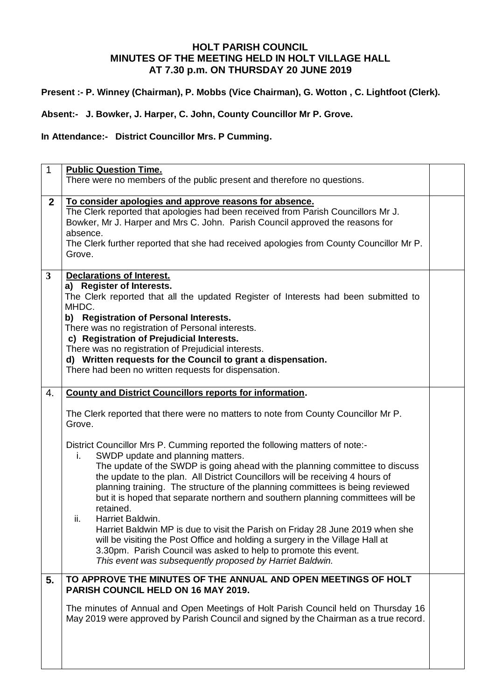## **HOLT PARISH COUNCIL MINUTES OF THE MEETING HELD IN HOLT VILLAGE HALL AT 7.30 p.m. ON THURSDAY 20 JUNE 2019**

**Present :- P. Winney (Chairman), P. Mobbs (Vice Chairman), G. Wotton , C. Lightfoot (Clerk).**

**Absent:- J. Bowker, J. Harper, C. John, County Councillor Mr P. Grove.**

**In Attendance:- District Councillor Mrs. P Cumming.**

| $\mathbf{1}$ | <b>Public Question Time.</b><br>There were no members of the public present and therefore no questions.                                                                                                                                                                                                                                                                                                                                                                                                                                                                                                                                                                                                                                                                                                                                                                                                                                                                 |  |
|--------------|-------------------------------------------------------------------------------------------------------------------------------------------------------------------------------------------------------------------------------------------------------------------------------------------------------------------------------------------------------------------------------------------------------------------------------------------------------------------------------------------------------------------------------------------------------------------------------------------------------------------------------------------------------------------------------------------------------------------------------------------------------------------------------------------------------------------------------------------------------------------------------------------------------------------------------------------------------------------------|--|
| $\mathbf{2}$ | To consider apologies and approve reasons for absence.<br>The Clerk reported that apologies had been received from Parish Councillors Mr J.<br>Bowker, Mr J. Harper and Mrs C. John. Parish Council approved the reasons for<br>absence.<br>The Clerk further reported that she had received apologies from County Councillor Mr P.<br>Grove.                                                                                                                                                                                                                                                                                                                                                                                                                                                                                                                                                                                                                           |  |
| $\mathbf{3}$ | <b>Declarations of Interest.</b><br>a) Register of Interests.<br>The Clerk reported that all the updated Register of Interests had been submitted to<br>MHDC.<br>b) Registration of Personal Interests.<br>There was no registration of Personal interests.<br>c) Registration of Prejudicial Interests.<br>There was no registration of Prejudicial interests.<br>d) Written requests for the Council to grant a dispensation.<br>There had been no written requests for dispensation.                                                                                                                                                                                                                                                                                                                                                                                                                                                                                 |  |
| 4.           | <b>County and District Councillors reports for information.</b><br>The Clerk reported that there were no matters to note from County Councillor Mr P.<br>Grove.<br>District Councillor Mrs P. Cumming reported the following matters of note:-<br>SWDP update and planning matters.<br>i.<br>The update of the SWDP is going ahead with the planning committee to discuss<br>the update to the plan. All District Councillors will be receiving 4 hours of<br>planning training. The structure of the planning committees is being reviewed<br>but it is hoped that separate northern and southern planning committees will be<br>retained.<br>ii.<br>Harriet Baldwin.<br>Harriet Baldwin MP is due to visit the Parish on Friday 28 June 2019 when she<br>will be visiting the Post Office and holding a surgery in the Village Hall at<br>3.30pm. Parish Council was asked to help to promote this event.<br>This event was subsequently proposed by Harriet Baldwin. |  |
| 5.           | TO APPROVE THE MINUTES OF THE ANNUAL AND OPEN MEETINGS OF HOLT<br>PARISH COUNCIL HELD ON 16 MAY 2019.<br>The minutes of Annual and Open Meetings of Holt Parish Council held on Thursday 16<br>May 2019 were approved by Parish Council and signed by the Chairman as a true record.                                                                                                                                                                                                                                                                                                                                                                                                                                                                                                                                                                                                                                                                                    |  |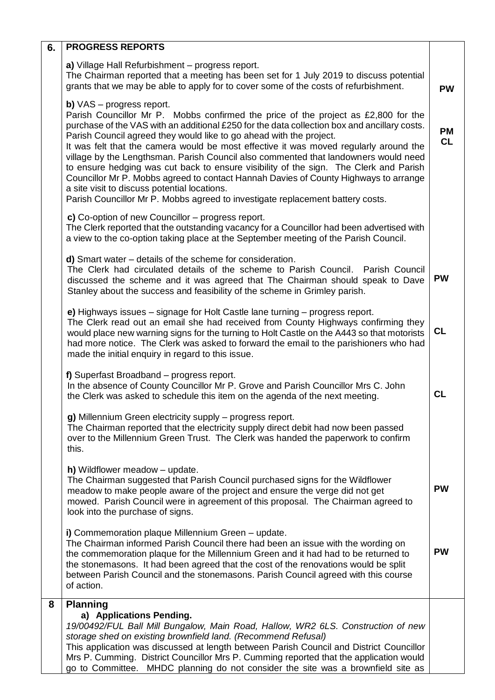| 6. | <b>PROGRESS REPORTS</b>                                                                                                                                                                                                                                                                                                                                                                                                                                                                                                                                                                                                                                                                                                                                                                            |                 |
|----|----------------------------------------------------------------------------------------------------------------------------------------------------------------------------------------------------------------------------------------------------------------------------------------------------------------------------------------------------------------------------------------------------------------------------------------------------------------------------------------------------------------------------------------------------------------------------------------------------------------------------------------------------------------------------------------------------------------------------------------------------------------------------------------------------|-----------------|
|    | a) Village Hall Refurbishment - progress report.<br>The Chairman reported that a meeting has been set for 1 July 2019 to discuss potential<br>grants that we may be able to apply for to cover some of the costs of refurbishment.                                                                                                                                                                                                                                                                                                                                                                                                                                                                                                                                                                 | <b>PW</b>       |
|    | <b>b)</b> $VAS$ – progress report.<br>Parish Councillor Mr P. Mobbs confirmed the price of the project as £2,800 for the<br>purchase of the VAS with an additional £250 for the data collection box and ancillary costs.<br>Parish Council agreed they would like to go ahead with the project.<br>It was felt that the camera would be most effective it was moved regularly around the<br>village by the Lengthsman. Parish Council also commented that landowners would need<br>to ensure hedging was cut back to ensure visibility of the sign. The Clerk and Parish<br>Councillor Mr P. Mobbs agreed to contact Hannah Davies of County Highways to arrange<br>a site visit to discuss potential locations.<br>Parish Councillor Mr P. Mobbs agreed to investigate replacement battery costs. | <b>PM</b><br>CL |
|    | c) Co-option of new Councillor – progress report.<br>The Clerk reported that the outstanding vacancy for a Councillor had been advertised with<br>a view to the co-option taking place at the September meeting of the Parish Council.                                                                                                                                                                                                                                                                                                                                                                                                                                                                                                                                                             |                 |
|    | $d)$ Smart water $-$ details of the scheme for consideration.<br>The Clerk had circulated details of the scheme to Parish Council. Parish Council<br>discussed the scheme and it was agreed that The Chairman should speak to Dave<br>Stanley about the success and feasibility of the scheme in Grimley parish.                                                                                                                                                                                                                                                                                                                                                                                                                                                                                   | <b>PW</b>       |
|    | e) Highways issues – signage for Holt Castle lane turning – progress report.<br>The Clerk read out an email she had received from County Highways confirming they<br>would place new warning signs for the turning to Holt Castle on the A443 so that motorists<br>had more notice. The Clerk was asked to forward the email to the parishioners who had<br>made the initial enquiry in regard to this issue.                                                                                                                                                                                                                                                                                                                                                                                      | <b>CL</b>       |
|    | f) Superfast Broadband - progress report.<br>In the absence of County Councillor Mr P. Grove and Parish Councillor Mrs C. John<br>the Clerk was asked to schedule this item on the agenda of the next meeting.                                                                                                                                                                                                                                                                                                                                                                                                                                                                                                                                                                                     | <b>CL</b>       |
|    | g) Millennium Green electricity supply - progress report.<br>The Chairman reported that the electricity supply direct debit had now been passed<br>over to the Millennium Green Trust. The Clerk was handed the paperwork to confirm<br>this.                                                                                                                                                                                                                                                                                                                                                                                                                                                                                                                                                      |                 |
|    | h) Wildflower meadow - update.<br>The Chairman suggested that Parish Council purchased signs for the Wildflower<br>meadow to make people aware of the project and ensure the verge did not get<br>mowed. Parish Council were in agreement of this proposal. The Chairman agreed to<br>look into the purchase of signs.                                                                                                                                                                                                                                                                                                                                                                                                                                                                             | <b>PW</b>       |
|    | i) Commemoration plaque Millennium Green - update.<br>The Chairman informed Parish Council there had been an issue with the wording on<br>the commemoration plaque for the Millennium Green and it had had to be returned to<br>the stonemasons. It had been agreed that the cost of the renovations would be split<br>between Parish Council and the stonemasons. Parish Council agreed with this course<br>of action.                                                                                                                                                                                                                                                                                                                                                                            | <b>PW</b>       |
| 8  | <b>Planning</b><br>a) Applications Pending.<br>19/00492/FUL Ball Mill Bungalow, Main Road, Hallow, WR2 6LS. Construction of new<br>storage shed on existing brownfield land. (Recommend Refusal)<br>This application was discussed at length between Parish Council and District Councillor<br>Mrs P. Cumming. District Councillor Mrs P. Cumming reported that the application would<br>go to Committee. MHDC planning do not consider the site was a brownfield site as                                                                                                                                                                                                                                                                                                                          |                 |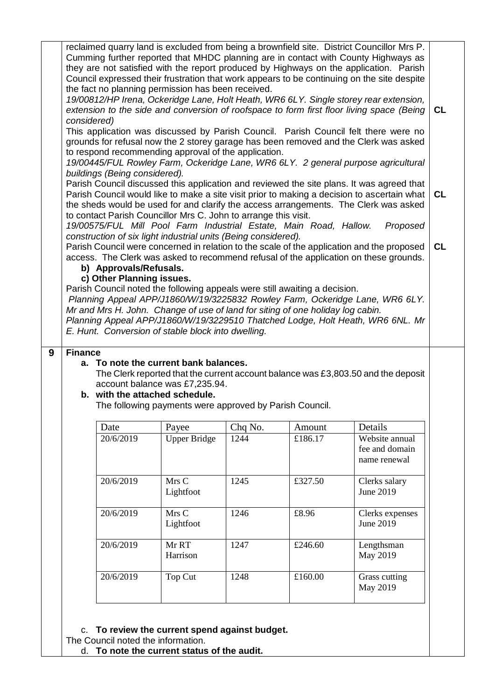|                                                                                                                                                                                                                                                                                                                                                                                                                   |                               | the fact no planning permission has been received.                                                                                                                   |                 |                   | reclaimed quarry land is excluded from being a brownfield site. District Councillor Mrs P.<br>Cumming further reported that MHDC planning are in contact with County Highways as<br>they are not satisfied with the report produced by Highways on the application. Parish<br>Council expressed their frustration that work appears to be continuing on the site despite<br>19/00812/HP Irena, Ockeridge Lane, Holt Heath, WR6 6LY. Single storey rear extension,<br>extension to the side and conversion of roofspace to form first floor living space (Being | <b>CL</b> |  |
|-------------------------------------------------------------------------------------------------------------------------------------------------------------------------------------------------------------------------------------------------------------------------------------------------------------------------------------------------------------------------------------------------------------------|-------------------------------|----------------------------------------------------------------------------------------------------------------------------------------------------------------------|-----------------|-------------------|----------------------------------------------------------------------------------------------------------------------------------------------------------------------------------------------------------------------------------------------------------------------------------------------------------------------------------------------------------------------------------------------------------------------------------------------------------------------------------------------------------------------------------------------------------------|-----------|--|
| considered)                                                                                                                                                                                                                                                                                                                                                                                                       | buildings (Being considered). | to respond recommending approval of the application.                                                                                                                 |                 |                   | This application was discussed by Parish Council. Parish Council felt there were no<br>grounds for refusal now the 2 storey garage has been removed and the Clerk was asked<br>19/00445/FUL Rowley Farm, Ockeridge Lane, WR6 6LY. 2 general purpose agricultural                                                                                                                                                                                                                                                                                               |           |  |
|                                                                                                                                                                                                                                                                                                                                                                                                                   |                               | to contact Parish Councillor Mrs C. John to arrange this visit.<br>19/00575/FUL Mill Pool Farm Industrial Estate, Main Road, Hallow.                                 |                 |                   | Parish Council discussed this application and reviewed the site plans. It was agreed that<br>Parish Council would like to make a site visit prior to making a decision to ascertain what<br>the sheds would be used for and clarify the access arrangements. The Clerk was asked<br>Proposed                                                                                                                                                                                                                                                                   | <b>CL</b> |  |
|                                                                                                                                                                                                                                                                                                                                                                                                                   | b) Approvals/Refusals.        | construction of six light industrial units (Being considered).                                                                                                       |                 |                   | Parish Council were concerned in relation to the scale of the application and the proposed<br>access. The Clerk was asked to recommend refusal of the application on these grounds.                                                                                                                                                                                                                                                                                                                                                                            | CL        |  |
| c) Other Planning issues.<br>Parish Council noted the following appeals were still awaiting a decision.<br>Planning Appeal APP/J1860/W/19/3225832 Rowley Farm, Ockeridge Lane, WR6 6LY.<br>Mr and Mrs H. John. Change of use of land for siting of one holiday log cabin.<br>Planning Appeal APP/J1860/W/19/3229510 Thatched Lodge, Holt Heath, WR6 6NL. Mr<br>E. Hunt. Conversion of stable block into dwelling. |                               |                                                                                                                                                                      |                 |                   |                                                                                                                                                                                                                                                                                                                                                                                                                                                                                                                                                                |           |  |
|                                                                                                                                                                                                                                                                                                                                                                                                                   |                               |                                                                                                                                                                      |                 |                   |                                                                                                                                                                                                                                                                                                                                                                                                                                                                                                                                                                |           |  |
|                                                                                                                                                                                                                                                                                                                                                                                                                   |                               | a. To note the current bank balances.<br>account balance was £7,235.94.<br>b. with the attached schedule.<br>The following payments were approved by Parish Council. |                 |                   | The Clerk reported that the current account balance was £3,803.50 and the deposit                                                                                                                                                                                                                                                                                                                                                                                                                                                                              |           |  |
| <b>Finance</b>                                                                                                                                                                                                                                                                                                                                                                                                    | Date<br>20/6/2019             | Payee<br><b>Upper Bridge</b>                                                                                                                                         | Chq No.<br>1244 | Amount<br>£186.17 | Details<br>Website annual<br>fee and domain<br>name renewal                                                                                                                                                                                                                                                                                                                                                                                                                                                                                                    |           |  |
|                                                                                                                                                                                                                                                                                                                                                                                                                   | 20/6/2019                     | Mrs C<br>Lightfoot                                                                                                                                                   | 1245            | £327.50           | Clerks salary<br>June 2019                                                                                                                                                                                                                                                                                                                                                                                                                                                                                                                                     |           |  |
|                                                                                                                                                                                                                                                                                                                                                                                                                   | 20/6/2019                     | Mrs C<br>Lightfoot                                                                                                                                                   | 1246            | £8.96             | Clerks expenses<br>June 2019                                                                                                                                                                                                                                                                                                                                                                                                                                                                                                                                   |           |  |
|                                                                                                                                                                                                                                                                                                                                                                                                                   | 20/6/2019                     | Mr RT<br>Harrison                                                                                                                                                    | 1247            | £246.60           | Lengthsman<br>May 2019                                                                                                                                                                                                                                                                                                                                                                                                                                                                                                                                         |           |  |

The Council noted the information.

d. **To note the current status of the audit.**